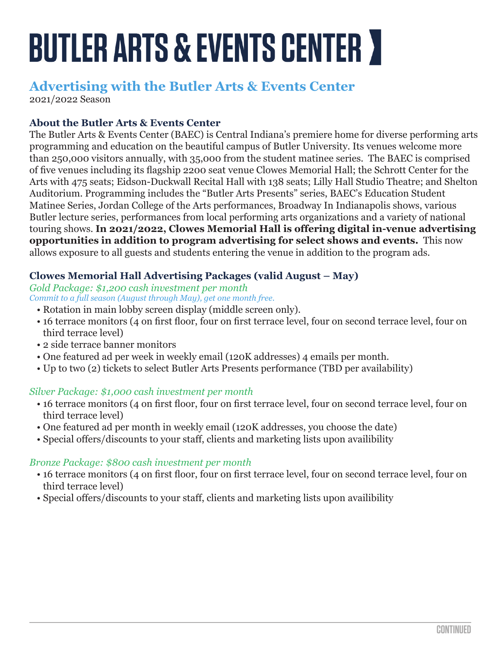# **BUTLER ARTS & EVENTS CENTER Y**

# **Advertising with the Butler Arts & Events Center**

2021/2022 Season

# **About the Butler Arts & Events Center**

The Butler Arts & Events Center (BAEC) is Central Indiana's premiere home for diverse performing arts programming and education on the beautiful campus of Butler University. Its venues welcome more than 250,000 visitors annually, with 35,000 from the student matinee series. The BAEC is comprised of five venues including its flagship 2200 seat venue Clowes Memorial Hall; the Schrott Center for the Arts with 475 seats; Eidson-Duckwall Recital Hall with 138 seats; Lilly Hall Studio Theatre; and Shelton Auditorium. Programming includes the "Butler Arts Presents" series, BAEC's Education Student Matinee Series, Jordan College of the Arts performances, Broadway In Indianapolis shows, various Butler lecture series, performances from local performing arts organizations and a variety of national touring shows. **In 2021/2022, Clowes Memorial Hall is offering digital in-venue advertising opportunities in addition to program advertising for select shows and events.** This now allows exposure to all guests and students entering the venue in addition to the program ads.

# **Clowes Memorial Hall Advertising Packages (valid August – May)**

*Gold Package: \$1,200 cash investment per month Commit to a full season (August through May), get one month free.* 

- Rotation in main lobby screen display (middle screen only).
- 16 terrace monitors (4 on first floor, four on first terrace level, four on second terrace level, four on third terrace level)
- 2 side terrace banner monitors
- One featured ad per week in weekly email (120K addresses) 4 emails per month.
- Up to two (2) tickets to select Butler Arts Presents performance (TBD per availability)

#### *Silver Package: \$1,000 cash investment per month*

- 16 terrace monitors (4 on first floor, four on first terrace level, four on second terrace level, four on third terrace level)
- One featured ad per month in weekly email (120K addresses, you choose the date)
- Special offers/discounts to your staff, clients and marketing lists upon availibility

#### *Bronze Package: \$800 cash investment per month*

- 16 terrace monitors (4 on first floor, four on first terrace level, four on second terrace level, four on third terrace level)
- Special offers/discounts to your staff, clients and marketing lists upon availibility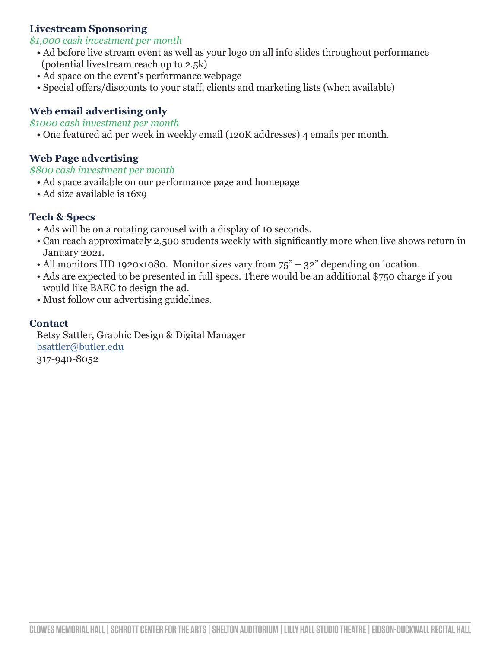# **Livestream Sponsoring**

#### *\$1,000 cash investment per month*

- Ad before live stream event as well as your logo on all info slides throughout performance (potential livestream reach up to 2.5k)
- Ad space on the event's performance webpage
- Special offers/discounts to your staff, clients and marketing lists (when available)

# **Web email advertising only**

#### *\$1000 cash investment per month*

• One featured ad per week in weekly email (120K addresses) 4 emails per month.

### **Web Page advertising**

*\$800 cash investment per month*

- Ad space available on our performance page and homepage
- Ad size available is 16x9

### **Tech & Specs**

- Ads will be on a rotating carousel with a display of 10 seconds.
- Can reach approximately 2,500 students weekly with significantly more when live shows return in January 2021.
- All monitors HD 1920x1080. Monitor sizes vary from  $75^{\degree}$  32" depending on location.
- Ads are expected to be presented in full specs. There would be an additional \$750 charge if you would like BAEC to design the ad.
- Must follow our advertising guidelines.

#### **Contact**

Betsy Sattler, Graphic Design & Digital Manager bsattler@butler.edu 317-940-8052